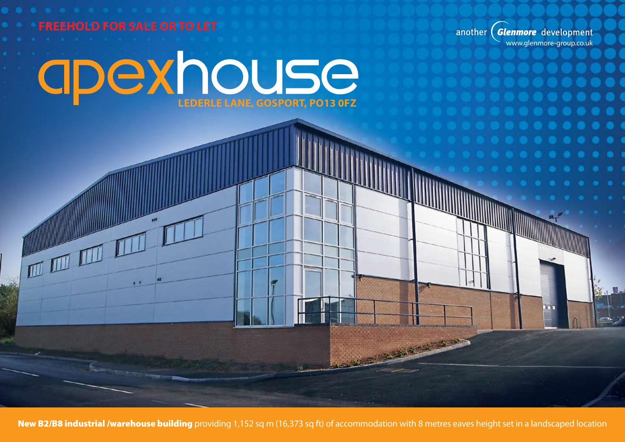

New B2/B8 industrial /warehouse building providing 1,152 sq m (16,373 sq ft) of accommodation with 8 metres eaves height set in a landscaped location